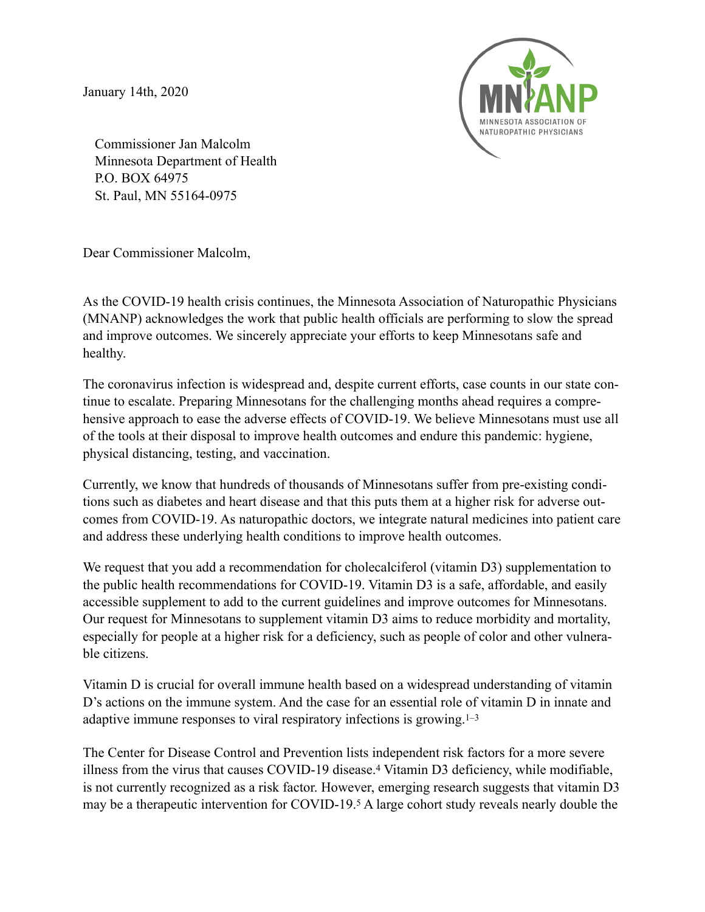January 14th, 2020



Commissioner Jan Malcolm Minnesota Department of Health P.O. BOX 64975 St. Paul, MN 55164-0975

Dear Commissioner Malcolm,

As the COVID-19 health crisis continues, the Minnesota Association of Naturopathic Physicians (MNANP) acknowledges the work that public health officials are performing to slow the spread and improve outcomes. We sincerely appreciate your efforts to keep Minnesotans safe and healthy.

The coronavirus infection is widespread and, despite current efforts, case counts in our state continue to escalate. Preparing Minnesotans for the challenging months ahead requires a comprehensive approach to ease the adverse effects of COVID-19. We believe Minnesotans must use all of the tools at their disposal to improve health outcomes and endure this pandemic: hygiene, physical distancing, testing, and vaccination.

Currently, we know that hundreds of thousands of Minnesotans suffer from pre-existing conditions such as diabetes and heart disease and that this puts them at a higher risk for adverse outcomes from COVID-19. As naturopathic doctors, we integrate natural medicines into patient care and address these underlying health conditions to improve health outcomes.

We request that you add a recommendation for cholecalciferol (vitamin D3) supplementation to the public health recommendations for COVID-19. Vitamin D3 is a safe, affordable, and easily accessible supplement to add to the current guidelines and improve outcomes for Minnesotans. Our request for Minnesotans to supplement vitamin D3 aims to reduce morbidity and mortality, especially for people at a higher risk for a deficiency, such as people of color and other vulnerable citizens.

Vitamin D is crucial for overall immune health based on a widespread understanding of vitamin D's actions on the immune system. And the case for an essential role of vitamin D in innate and adaptive immune responses to viral respiratory infections is growing.1–3

The Center for Disease Control and Prevention lists independent risk factors for a more severe illness from the virus that causes COVID-19 disease.4 Vitamin D3 deficiency, while modifiable, is not currently recognized as a risk factor. However, emerging research suggests that vitamin D3 may be a therapeutic intervention for COVID-19.5 A large cohort study reveals nearly double the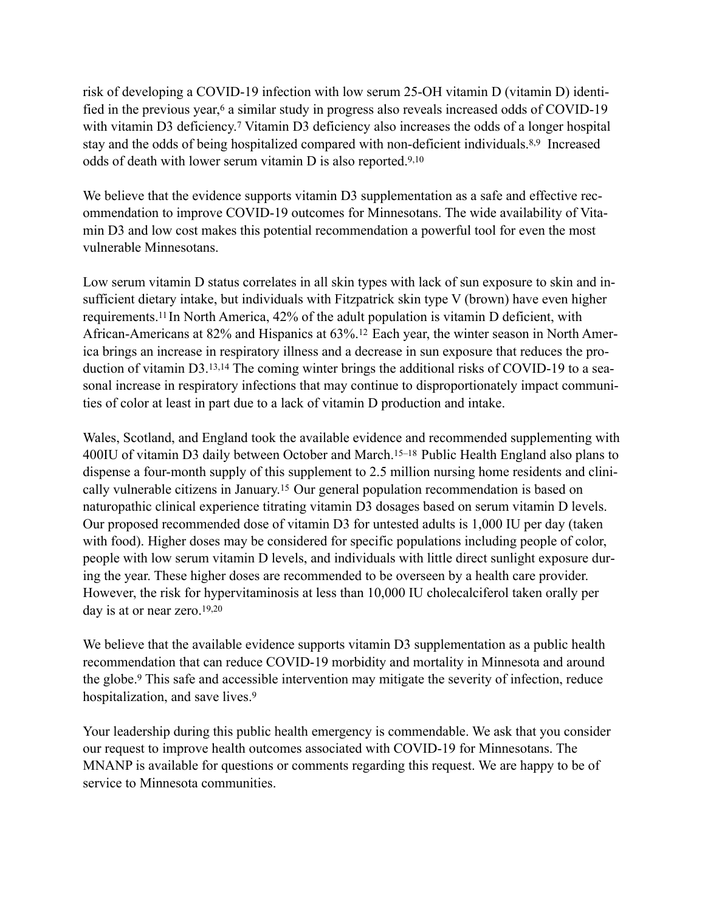risk of developing a COVID-19 infection with low serum 25-OH vitamin D (vitamin D) identified in the previous year,<sup>6</sup> a similar study in progress also reveals increased odds of COVID-19 with vitamin D3 deficiency.<sup>7</sup> Vitamin D3 deficiency also increases the odds of a longer hospital stay and the odds of being hospitalized compared with non-deficient individuals.8,9 Increased odds of death with lower serum vitamin D is also reported.9,10

We believe that the evidence supports vitamin D3 supplementation as a safe and effective recommendation to improve COVID-19 outcomes for Minnesotans. The wide availability of Vitamin D3 and low cost makes this potential recommendation a powerful tool for even the most vulnerable Minnesotans.

Low serum vitamin D status correlates in all skin types with lack of sun exposure to skin and insufficient dietary intake, but individuals with Fitzpatrick skin type V (brown) have even higher requirements.11 In North America, 42% of the adult population is vitamin D deficient, with African-Americans at 82% and Hispanics at 63%.12 Each year, the winter season in North America brings an increase in respiratory illness and a decrease in sun exposure that reduces the production of vitamin D3.13,14 The coming winter brings the additional risks of COVID-19 to a seasonal increase in respiratory infections that may continue to disproportionately impact communities of color at least in part due to a lack of vitamin D production and intake.

Wales, Scotland, and England took the available evidence and recommended supplementing with 400IU of vitamin D3 daily between October and March.15–18 Public Health England also plans to dispense a four-month supply of this supplement to 2.5 million nursing home residents and clinically vulnerable citizens in January.15 Our general population recommendation is based on naturopathic clinical experience titrating vitamin D3 dosages based on serum vitamin D levels. Our proposed recommended dose of vitamin D3 for untested adults is 1,000 IU per day (taken with food). Higher doses may be considered for specific populations including people of color, people with low serum vitamin D levels, and individuals with little direct sunlight exposure during the year. These higher doses are recommended to be overseen by a health care provider. However, the risk for hypervitaminosis at less than 10,000 IU cholecalciferol taken orally per day is at or near zero.19,20

We believe that the available evidence supports vitamin D3 supplementation as a public health recommendation that can reduce COVID-19 morbidity and mortality in Minnesota and around the globe.9 This safe and accessible intervention may mitigate the severity of infection, reduce hospitalization, and save lives.<sup>9</sup>

Your leadership during this public health emergency is commendable. We ask that you consider our request to improve health outcomes associated with COVID-19 for Minnesotans. The MNANP is available for questions or comments regarding this request. We are happy to be of service to Minnesota communities.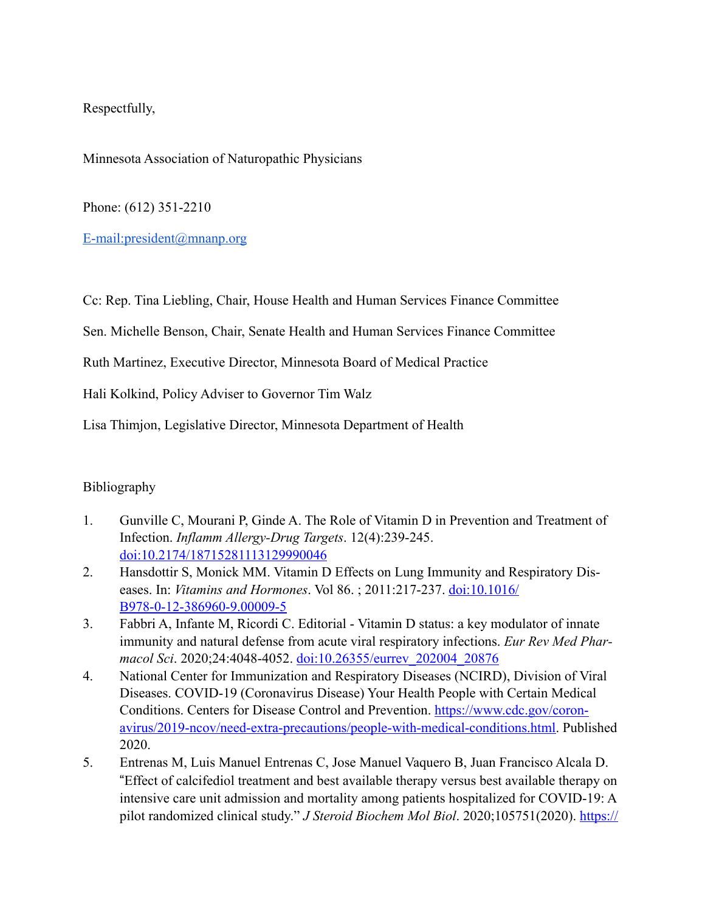Respectfully,

Minnesota Association of Naturopathic Physicians

Phone: (612) 351-2210

[E-mail:president@mnanp.org](mailto:E-mail%25253Apresident@mnanp.org)

Cc: Rep. Tina Liebling, Chair, House Health and Human Services Finance Committee

Sen. Michelle Benson, Chair, Senate Health and Human Services Finance Committee

Ruth Martinez, Executive Director, Minnesota Board of Medical Practice

Hali Kolkind, Policy Adviser to Governor Tim Walz

Lisa Thimjon, Legislative Director, Minnesota Department of Health

## Bibliography

- 1. Gunville C, Mourani P, Ginde A. The Role of Vitamin D in Prevention and Treatment of Infection. *Inflamm Allergy-Drug Targets*. 12(4):239-245. [doi:10.2174/18715281113129990046](http://www.eurekaselect.com/openurl/content.php?genre=article&issn=1871-5281&volume=12&issue=4&spage=239)
- 2. Hansdottir S, Monick MM. Vitamin D Effects on Lung Immunity and Respiratory Diseases. In: *Vitamins and Hormones*. Vol 86. ; 2011:217-237. [doi:10.1016/](https://linkinghub.elsevier.com/retrieve/pii/B9780123869609000095) [B978-0-12-386960-9.00009-5](https://linkinghub.elsevier.com/retrieve/pii/B9780123869609000095)
- 3. Fabbri A, Infante M, Ricordi C. Editorial Vitamin D status: a key modulator of innate immunity and natural defense from acute viral respiratory infections. *Eur Rev Med Pharmacol Sci*. 2020;24:4048-4052. [doi:10.26355/eurrev\\_202004\\_20876](https://www.europeanreview.org/wp/wp-content/uploads/4048-4052.pdf)
- 4. National Center for Immunization and Respiratory Diseases (NCIRD), Division of Viral Diseases. COVID-19 (Coronavirus Disease) Your Health People with Certain Medical Conditions. Centers for Disease Control and Prevention. [https://www.cdc.gov/coron](https://www.cdc.gov/coronavirus/2019-ncov/need-extra-precautions/people-with-medical-conditions.html)[avirus/2019-ncov/need-extra-precautions/people-with-medical-conditions.html.](https://www.cdc.gov/coronavirus/2019-ncov/need-extra-precautions/people-with-medical-conditions.html) Published 2020.
- 5. Entrenas M, Luis Manuel Entrenas C, Jose Manuel Vaquero B, Juan Francisco Alcala D. !Effect of calcifediol treatment and best available therapy versus best available therapy on intensive care unit admission and mortality among patients hospitalized for COVID-19: A pilot randomized clinical study." *J Steroid Biochem Mol Biol*. 2020;105751(2020). [https://](https://www.sciencedirect.com/science/article/pii/S0960076020302764?via%25253Dihub)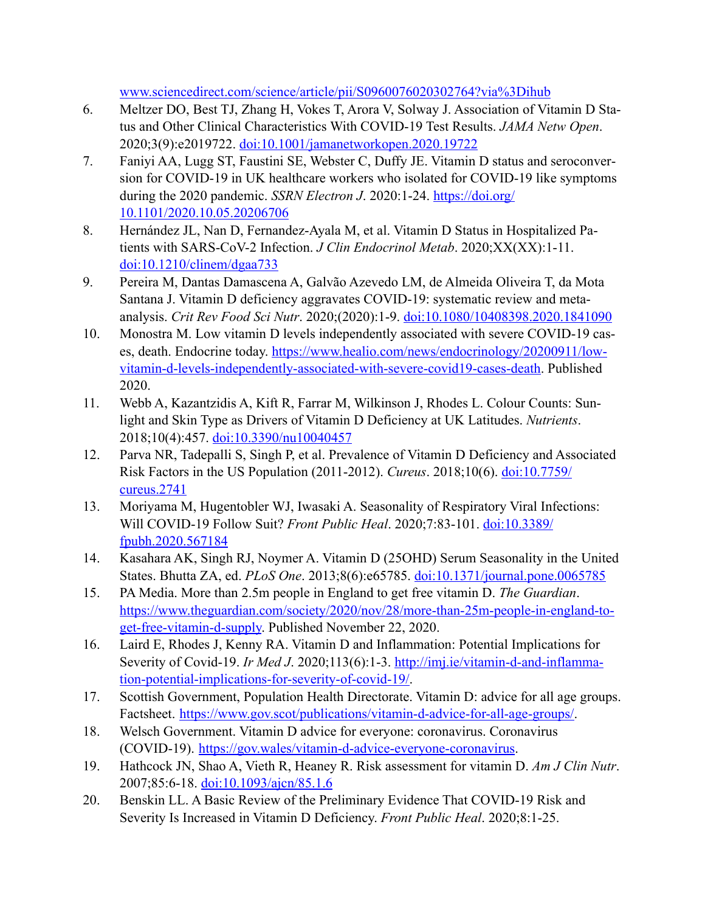[www.sciencedirect.com/science/article/pii/S0960076020302764?via%3Dihub](https://www.sciencedirect.com/science/article/pii/S0960076020302764?via%25253Dihub)

- 6. Meltzer DO, Best TJ, Zhang H, Vokes T, Arora V, Solway J. Association of Vitamin D Status and Other Clinical Characteristics With COVID-19 Test Results. *JAMA Netw Open*. 2020;3(9):e2019722. [doi:10.1001/jamanetworkopen.2020.19722](https://jamanetwork.com/journals/jamanetworkopen/fullarticle/2770157)
- 7. Faniyi AA, Lugg ST, Faustini SE, Webster C, Duffy JE. Vitamin D status and seroconversion for COVID-19 in UK healthcare workers who isolated for COVID-19 like symptoms during the 2020 pandemic. *SSRN Electron J*. 2020:1-24. [https://doi.org/](https://doi.org/10.1101/2020.10.05.20206706) [10.1101/2020.10.05.20206706](https://doi.org/10.1101/2020.10.05.20206706)
- 8. Hernández JL, Nan D, Fernandez-Ayala M, et al. Vitamin D Status in Hospitalized Patients with SARS-CoV-2 Infection. *J Clin Endocrinol Metab*. 2020;XX(XX):1-11. [doi:10.1210/clinem/dgaa733](https://academic.oup.com/jcem/advance-article/doi/10.1210/clinem/dgaa733/5934827)
- 9. Pereira M, Dantas Damascena A, Galvão Azevedo LM, de Almeida Oliveira T, da Mota Santana J. Vitamin D deficiency aggravates COVID-19: systematic review and metaanalysis. *Crit Rev Food Sci Nutr*. 2020;(2020):1-9. [doi:10.1080/10408398.2020.1841090](https://doi.org/10.1080/10408398.2020.1841090)
- 10. Monostra M. Low vitamin D levels independently associated with severe COVID-19 cases, death. Endocrine today. [https://www.healio.com/news/endocrinology/20200911/low](https://www.healio.com/news/endocrinology/20200911/low-vitamin-d-levels-independently-associated-with-severe-covid19-cases-death)[vitamin-d-levels-independently-associated-with-severe-covid19-cases-death.](https://www.healio.com/news/endocrinology/20200911/low-vitamin-d-levels-independently-associated-with-severe-covid19-cases-death) Published 2020.
- 11. Webb A, Kazantzidis A, Kift R, Farrar M, Wilkinson J, Rhodes L. Colour Counts: Sunlight and Skin Type as Drivers of Vitamin D Deficiency at UK Latitudes. *Nutrients*. 2018;10(4):457. [doi:10.3390/nu10040457](http://www.mdpi.com/2072-6643/10/4/457)
- 12. Parva NR, Tadepalli S, Singh P, et al. Prevalence of Vitamin D Deficiency and Associated Risk Factors in the US Population (2011-2012). *Cureus*. 2018;10(6). [doi:10.7759/](https://www.cureus.com/articles/11792-prevalence-of-vitamin-d-deficiency-and-associated-risk-factors-in-the-us-population-2011-2012) [cureus.2741](https://www.cureus.com/articles/11792-prevalence-of-vitamin-d-deficiency-and-associated-risk-factors-in-the-us-population-2011-2012)
- 13. Moriyama M, Hugentobler WJ, Iwasaki A. Seasonality of Respiratory Viral Infections: Will COVID-19 Follow Suit? *Front Public Heal*. 2020;7:83-101. [doi:10.3389/](https://www.frontiersin.org/article/10.3389/fpubh.2020.567184/full) [fpubh.2020.567184](https://www.frontiersin.org/article/10.3389/fpubh.2020.567184/full)
- 14. Kasahara AK, Singh RJ, Noymer A. Vitamin D (25OHD) Serum Seasonality in the United States. Bhutta ZA, ed. *PLoS One*. 2013;8(6):e65785. [doi:10.1371/journal.pone.0065785](https://dx.plos.org/10.1371/journal.pone.0065785)
- 15. PA Media. More than 2.5m people in England to get free vitamin D. *The Guardian*. [https://www.theguardian.com/society/2020/nov/28/more-than-25m-people-in-england-to](https://www.theguardian.com/society/2020/nov/28/more-than-25m-people-in-england-to-get-free-vitamin-d-supply)[get-free-vitamin-d-supply.](https://www.theguardian.com/society/2020/nov/28/more-than-25m-people-in-england-to-get-free-vitamin-d-supply) Published November 22, 2020.
- 16. Laird E, Rhodes J, Kenny RA. Vitamin D and Inflammation: Potential Implications for Severity of Covid-19. *Ir Med J*. 2020;113(6):1-3. [http://imj.ie/vitamin-d-and-inflamma](http://imj.ie/vitamin-d-and-inflammation-potential-implications-for-severity-of-covid-19/)[tion-potential-implications-for-severity-of-covid-19/.](http://imj.ie/vitamin-d-and-inflammation-potential-implications-for-severity-of-covid-19/)
- 17. Scottish Government, Population Health Directorate. Vitamin D: advice for all age groups. Factsheet. [https://www.gov.scot/publications/vitamin-d-advice-for-all-age-groups/.](https://www.gov.scot/publications/vitamin-d-advice-for-all-age-groups/)
- 18. Welsch Government. Vitamin D advice for everyone: coronavirus. Coronavirus (COVID-19). <https://gov.wales/vitamin-d-advice-everyone-coronavirus>.
- 19. Hathcock JN, Shao A, Vieth R, Heaney R. Risk assessment for vitamin D. *Am J Clin Nutr*. 2007;85:6-18. [doi:10.1093/ajcn/85.1.6](https://academic.oup.com/ajcn/article/85/1/6/4649294)
- 20. Benskin LL. A Basic Review of the Preliminary Evidence That COVID-19 Risk and Severity Is Increased in Vitamin D Deficiency. *Front Public Heal*. 2020;8:1-25.